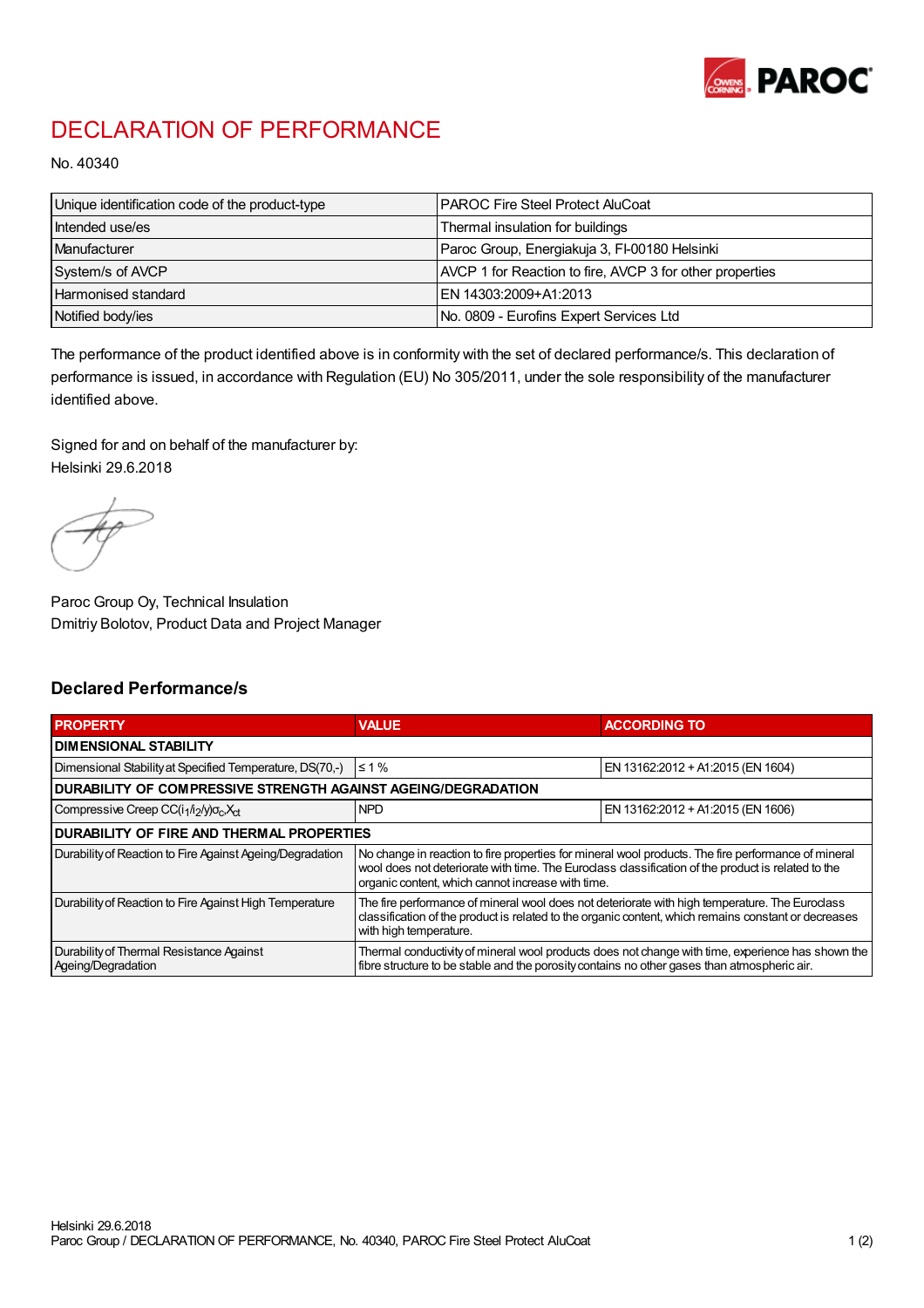

## DECLARATION OF PERFORMANCE

No. 40340

| Unique identification code of the product-type | I PAROC Fire Steel Protect AluCoat                       |
|------------------------------------------------|----------------------------------------------------------|
| Intended use/es                                | Thermal insulation for buildings                         |
| Manufacturer                                   | Paroc Group, Energiakuja 3, FI-00180 Helsinki            |
| System/s of AVCP                               | AVCP 1 for Reaction to fire, AVCP 3 for other properties |
| Harmonised standard                            | IEN 14303:2009+A1:2013                                   |
| Notified body/ies                              | No. 0809 - Eurofins Expert Services Ltd                  |

The performance of the product identified above is in conformity with the set of declared performance/s. This declaration of performance is issued, in accordance with Regulation (EU) No 305/2011, under the sole responsibility of the manufacturer identified above.

Signed for and on behalf of the manufacturer by: Helsinki 29.6.2018

Paroc Group Oy, Technical Insulation Dmitriy Bolotov, Product Data and Project Manager

## Declared Performance/s

| <b>PROPERTY</b>                                                                         | <b>VALUE</b>                                                                                                                                                                                                                                                   | <b>ACCORDING TO</b>               |  |
|-----------------------------------------------------------------------------------------|----------------------------------------------------------------------------------------------------------------------------------------------------------------------------------------------------------------------------------------------------------------|-----------------------------------|--|
| DIMENSIONAL STABILITY                                                                   |                                                                                                                                                                                                                                                                |                                   |  |
| Dimensional Stability at Specified Temperature, DS(70,-)                                | $\leq 1\%$                                                                                                                                                                                                                                                     | EN 13162:2012 + A1:2015 (EN 1604) |  |
| DURABILITY OF COMPRESSIVE STRENGTH AGAINST AGEING/DEGRADATION                           |                                                                                                                                                                                                                                                                |                                   |  |
| Compressive Creep CC(i <sub>1</sub> /i <sub>2</sub> /y)o <sub>c</sub> , X <sub>ct</sub> | <b>NPD</b>                                                                                                                                                                                                                                                     | EN 13162:2012 + A1:2015 (EN 1606) |  |
| <b>DURABILITY OF FIRE AND THERMAL PROPERTIES</b>                                        |                                                                                                                                                                                                                                                                |                                   |  |
| Durability of Reaction to Fire Against Ageing/Degradation                               | No change in reaction to fire properties for mineral wool products. The fire performance of mineral<br>wool does not deteriorate with time. The Euroclass classification of the product is related to the<br>organic content, which cannot increase with time. |                                   |  |
| Durability of Reaction to Fire Against High Temperature                                 | The fire performance of mineral wool does not deteriorate with high temperature. The Euroclass<br>classification of the product is related to the organic content, which remains constant or decreases<br>with high temperature.                               |                                   |  |
| Durability of Thermal Resistance Against<br>Ageing/Degradation                          | Thermal conductivity of mineral wool products does not change with time, experience has shown the<br>fibre structure to be stable and the porosity contains no other gases than atmospheric air.                                                               |                                   |  |